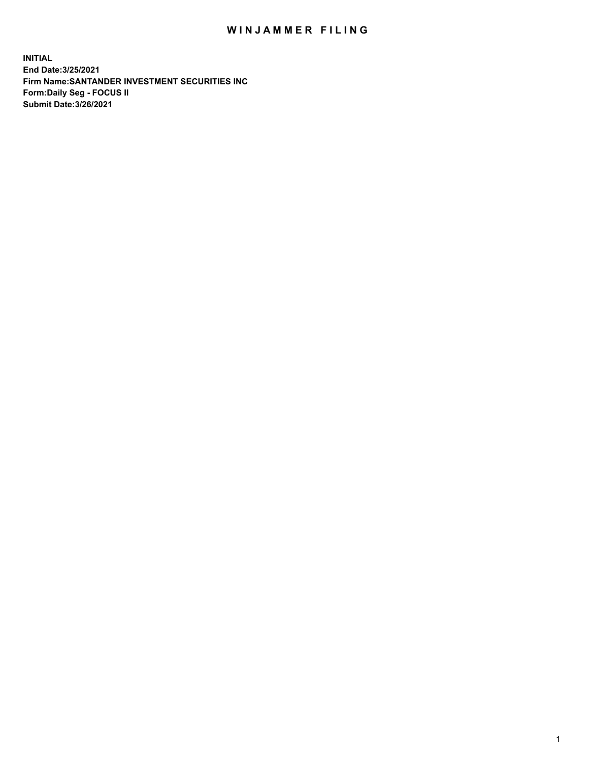## WIN JAMMER FILING

**INITIAL End Date:3/25/2021 Firm Name:SANTANDER INVESTMENT SECURITIES INC Form:Daily Seg - FOCUS II Submit Date:3/26/2021**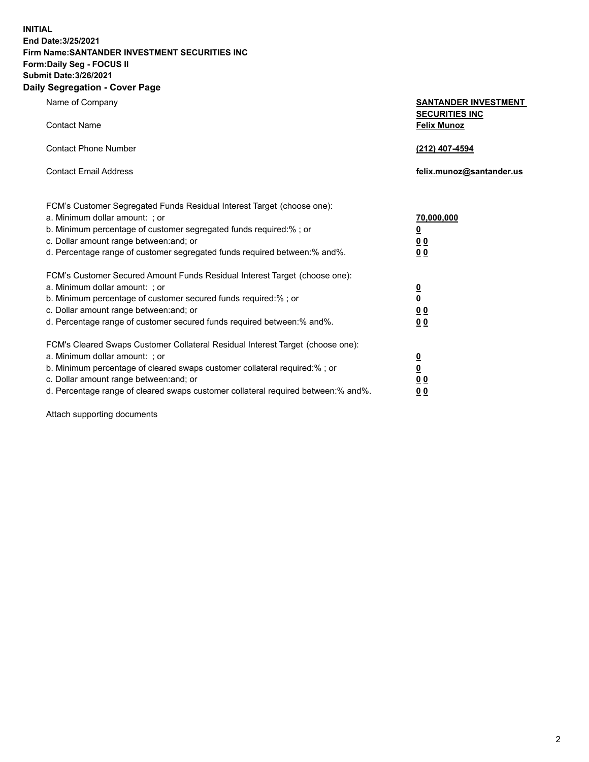**INITIAL End Date:3/25/2021 Firm Name:SANTANDER INVESTMENT SECURITIES INC Form:Daily Seg - FOCUS II Submit Date:3/26/2021 Daily Segregation - Cover Page**

| 0.91                                                                                                                                                                                                                                                                                                                           |                                                                                                          |
|--------------------------------------------------------------------------------------------------------------------------------------------------------------------------------------------------------------------------------------------------------------------------------------------------------------------------------|----------------------------------------------------------------------------------------------------------|
| Name of Company                                                                                                                                                                                                                                                                                                                | <b>SANTANDER INVESTMENT</b><br><b>SECURITIES INC</b>                                                     |
| <b>Contact Name</b>                                                                                                                                                                                                                                                                                                            | <b>Felix Munoz</b>                                                                                       |
| <b>Contact Phone Number</b>                                                                                                                                                                                                                                                                                                    | (212) 407-4594                                                                                           |
| <b>Contact Email Address</b>                                                                                                                                                                                                                                                                                                   | felix.munoz@santander.us                                                                                 |
| FCM's Customer Segregated Funds Residual Interest Target (choose one):<br>a. Minimum dollar amount: ; or<br>b. Minimum percentage of customer segregated funds required:% ; or<br>c. Dollar amount range between: and; or<br>d. Percentage range of customer segregated funds required between: % and %.                       | 70,000,000<br>$\underline{\mathbf{0}}$<br>0 <sub>0</sub><br>0 <sub>0</sub>                               |
| FCM's Customer Secured Amount Funds Residual Interest Target (choose one):<br>a. Minimum dollar amount: ; or<br>b. Minimum percentage of customer secured funds required:%; or<br>c. Dollar amount range between: and; or<br>d. Percentage range of customer secured funds required between:% and%.                            | $\frac{0}{0}$<br>0 <sub>0</sub><br>0 <sub>0</sub>                                                        |
| FCM's Cleared Swaps Customer Collateral Residual Interest Target (choose one):<br>a. Minimum dollar amount: ; or<br>b. Minimum percentage of cleared swaps customer collateral required:% ; or<br>c. Dollar amount range between: and; or<br>d. Percentage range of cleared swaps customer collateral required between:% and%. | $\overline{\mathbf{0}}$<br>$\underline{\mathbf{0}}$<br>$\underline{0}$ $\underline{0}$<br>0 <sub>0</sub> |

Attach supporting documents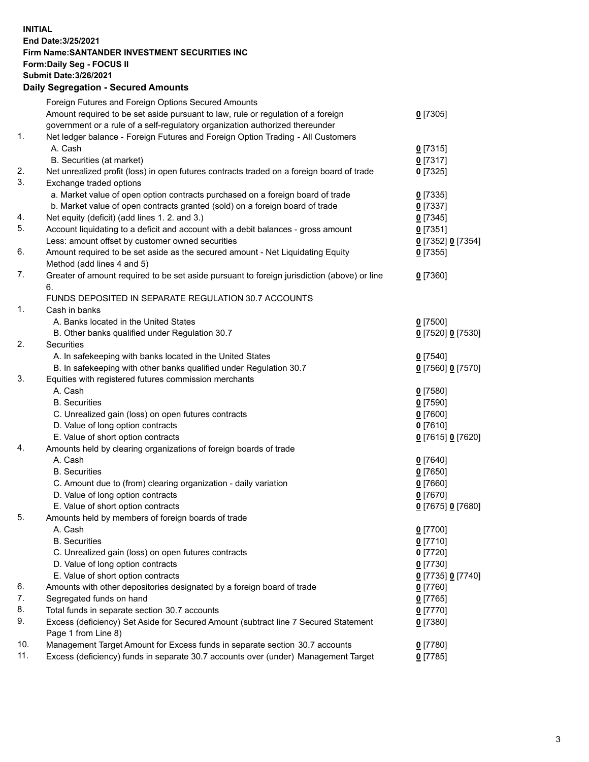**INITIAL End Date:3/25/2021 Firm Name:SANTANDER INVESTMENT SECURITIES INC Form:Daily Seg - FOCUS II Submit Date:3/26/2021 Daily Segregation - Secured Amounts**

|     | Foreign Futures and Foreign Options Secured Amounts                                         |                   |
|-----|---------------------------------------------------------------------------------------------|-------------------|
|     | Amount required to be set aside pursuant to law, rule or regulation of a foreign            | $0$ [7305]        |
|     | government or a rule of a self-regulatory organization authorized thereunder                |                   |
| 1.  | Net ledger balance - Foreign Futures and Foreign Option Trading - All Customers             |                   |
|     | A. Cash                                                                                     | $0$ [7315]        |
|     | B. Securities (at market)                                                                   | $0$ [7317]        |
| 2.  | Net unrealized profit (loss) in open futures contracts traded on a foreign board of trade   | $0$ [7325]        |
| 3.  | Exchange traded options                                                                     |                   |
|     | a. Market value of open option contracts purchased on a foreign board of trade              | $0$ [7335]        |
|     | b. Market value of open contracts granted (sold) on a foreign board of trade                | $0$ [7337]        |
| 4.  | Net equity (deficit) (add lines 1. 2. and 3.)                                               | $0$ [7345]        |
| 5.  | Account liquidating to a deficit and account with a debit balances - gross amount           | $0$ [7351]        |
|     | Less: amount offset by customer owned securities                                            | 0 [7352] 0 [7354] |
| 6.  | Amount required to be set aside as the secured amount - Net Liquidating Equity              | $0$ [7355]        |
|     | Method (add lines 4 and 5)                                                                  |                   |
| 7.  | Greater of amount required to be set aside pursuant to foreign jurisdiction (above) or line | $0$ [7360]        |
|     | 6.                                                                                          |                   |
|     | FUNDS DEPOSITED IN SEPARATE REGULATION 30.7 ACCOUNTS                                        |                   |
| 1.  | Cash in banks                                                                               |                   |
|     | A. Banks located in the United States                                                       | $0$ [7500]        |
|     | B. Other banks qualified under Regulation 30.7                                              | 0 [7520] 0 [7530] |
| 2.  | Securities                                                                                  |                   |
|     | A. In safekeeping with banks located in the United States                                   | $0$ [7540]        |
|     | B. In safekeeping with other banks qualified under Regulation 30.7                          | 0 [7560] 0 [7570] |
| 3.  | Equities with registered futures commission merchants                                       |                   |
|     | A. Cash                                                                                     | $0$ [7580]        |
|     | <b>B.</b> Securities                                                                        | $0$ [7590]        |
|     | C. Unrealized gain (loss) on open futures contracts                                         | $0$ [7600]        |
|     | D. Value of long option contracts                                                           | $0$ [7610]        |
|     | E. Value of short option contracts                                                          | 0 [7615] 0 [7620] |
| 4.  | Amounts held by clearing organizations of foreign boards of trade                           |                   |
|     | A. Cash                                                                                     | $0$ [7640]        |
|     | <b>B.</b> Securities                                                                        | $0$ [7650]        |
|     | C. Amount due to (from) clearing organization - daily variation                             | $0$ [7660]        |
|     | D. Value of long option contracts                                                           | $0$ [7670]        |
|     | E. Value of short option contracts                                                          | 0 [7675] 0 [7680] |
| 5.  | Amounts held by members of foreign boards of trade                                          |                   |
|     | A. Cash                                                                                     | $0$ [7700]        |
|     | <b>B.</b> Securities                                                                        | $0$ [7710]        |
|     | C. Unrealized gain (loss) on open futures contracts                                         | $0$ [7720]        |
|     | D. Value of long option contracts                                                           | $0$ [7730]        |
|     | E. Value of short option contracts                                                          | 0 [7735] 0 [7740] |
| 6.  | Amounts with other depositories designated by a foreign board of trade                      | $0$ [7760]        |
| 7.  | Segregated funds on hand                                                                    | $0$ [7765]        |
| 8.  | Total funds in separate section 30.7 accounts                                               | $0$ [7770]        |
| 9.  | Excess (deficiency) Set Aside for Secured Amount (subtract line 7 Secured Statement         | 0 [7380]          |
|     | Page 1 from Line 8)                                                                         |                   |
| 10. | Management Target Amount for Excess funds in separate section 30.7 accounts                 | $0$ [7780]        |
| 11. | Excess (deficiency) funds in separate 30.7 accounts over (under) Management Target          | $0$ [7785]        |
|     |                                                                                             |                   |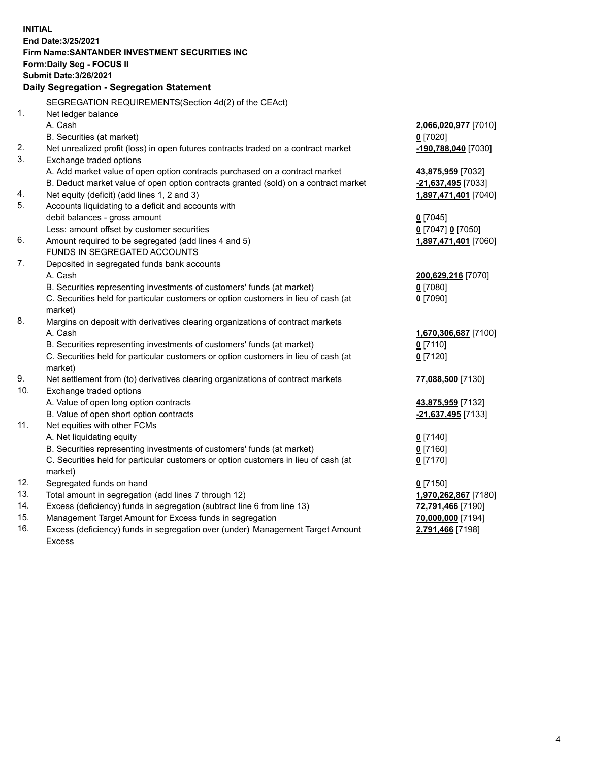| <b>INITIAL</b> |                                                                                     |                                         |
|----------------|-------------------------------------------------------------------------------------|-----------------------------------------|
|                | End Date: 3/25/2021                                                                 |                                         |
|                | Firm Name: SANTANDER INVESTMENT SECURITIES INC                                      |                                         |
|                | <b>Form:Daily Seg - FOCUS II</b>                                                    |                                         |
|                | <b>Submit Date: 3/26/2021</b>                                                       |                                         |
|                | Daily Segregation - Segregation Statement                                           |                                         |
|                | SEGREGATION REQUIREMENTS(Section 4d(2) of the CEAct)                                |                                         |
| 1.             | Net ledger balance                                                                  |                                         |
|                | A. Cash                                                                             | 2,066,020,977 [7010]                    |
|                | B. Securities (at market)                                                           | $0$ [7020]                              |
| 2.             | Net unrealized profit (loss) in open futures contracts traded on a contract market  | -190,788,040 [7030]                     |
| 3.             | Exchange traded options                                                             |                                         |
|                | A. Add market value of open option contracts purchased on a contract market         | 43,875,959 [7032]                       |
|                | B. Deduct market value of open option contracts granted (sold) on a contract market | -21,637,495 [7033]                      |
| 4.             | Net equity (deficit) (add lines 1, 2 and 3)                                         | 1,897,471,401 [7040]                    |
| 5.             | Accounts liquidating to a deficit and accounts with                                 |                                         |
|                | debit balances - gross amount                                                       | $0$ [7045]                              |
|                | Less: amount offset by customer securities                                          | 0 [7047] 0 [7050]                       |
| 6.             | Amount required to be segregated (add lines 4 and 5)                                | 1,897,471,401 [7060]                    |
|                | FUNDS IN SEGREGATED ACCOUNTS                                                        |                                         |
| 7.             | Deposited in segregated funds bank accounts                                         |                                         |
|                | A. Cash                                                                             | 200,629,216 [7070]                      |
|                | B. Securities representing investments of customers' funds (at market)              | $0$ [7080]                              |
|                | C. Securities held for particular customers or option customers in lieu of cash (at | $0$ [7090]                              |
|                | market)                                                                             |                                         |
| 8.             | Margins on deposit with derivatives clearing organizations of contract markets      |                                         |
|                | A. Cash                                                                             | 1,670,306,687 [7100]                    |
|                | B. Securities representing investments of customers' funds (at market)              | $0$ [7110]                              |
|                | C. Securities held for particular customers or option customers in lieu of cash (at | $0$ [7120]                              |
|                | market)                                                                             |                                         |
| 9.<br>10.      | Net settlement from (to) derivatives clearing organizations of contract markets     | 77,088,500 [7130]                       |
|                | Exchange traded options<br>A. Value of open long option contracts                   |                                         |
|                | B. Value of open short option contracts                                             | 43,875,959 [7132]<br>-21,637,495 [7133] |
| 11.            | Net equities with other FCMs                                                        |                                         |
|                | A. Net liquidating equity                                                           | $0$ [7140]                              |
|                | B. Securities representing investments of customers' funds (at market)              | $0$ [7160]                              |
|                | C. Securities held for particular customers or option customers in lieu of cash (at | $0$ [7170]                              |
|                | market)                                                                             |                                         |
| 12.            | Segregated funds on hand                                                            | $0$ [7150]                              |
| 13.            | Total amount in segregation (add lines 7 through 12)                                | 1,970,262,867 [7180]                    |
| 14.            | Excess (deficiency) funds in segregation (subtract line 6 from line 13)             | 72,791,466 [7190]                       |
| 15.            | Management Target Amount for Excess funds in segregation                            | 70,000,000 [7194]                       |
| 16.            | Excess (deficiency) funds in segregation over (under) Management Target Amount      | 2,791,466 [7198]                        |
|                | <b>Excess</b>                                                                       |                                         |